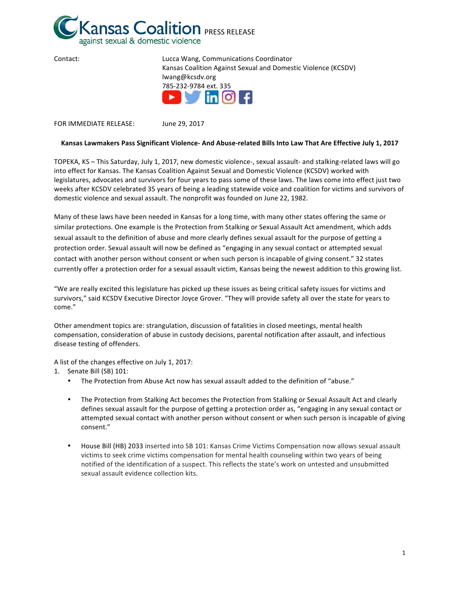

| Contact: | Lucca Wang, Communications Coordinator                                                                                                                                                                                                                                                                                                                                                                                                                                                                                                                      |
|----------|-------------------------------------------------------------------------------------------------------------------------------------------------------------------------------------------------------------------------------------------------------------------------------------------------------------------------------------------------------------------------------------------------------------------------------------------------------------------------------------------------------------------------------------------------------------|
|          | Kansas Coalition Against Sexual and Domestic Violence (KCSDV)                                                                                                                                                                                                                                                                                                                                                                                                                                                                                               |
|          | lwang@kcsdv.org                                                                                                                                                                                                                                                                                                                                                                                                                                                                                                                                             |
|          | 785-232-9784 ext. 335                                                                                                                                                                                                                                                                                                                                                                                                                                                                                                                                       |
|          | $\triangleright$ $\triangleright$ $\triangleright$ $\triangleright$ $\triangleright$ $\triangleright$ $\triangleright$ $\triangleright$ $\triangleright$ $\triangleright$ $\triangleright$ $\triangleright$ $\triangleright$ $\triangleright$ $\triangleright$ $\triangleright$ $\triangleright$ $\triangleright$ $\triangleright$ $\triangleright$ $\triangleright$ $\triangleright$ $\triangleright$ $\triangleright$ $\triangleright$ $\triangleright$ $\triangleright$ $\triangleright$ $\triangleright$ $\triangleright$ $\triangleright$ $\triangler$ |
|          |                                                                                                                                                                                                                                                                                                                                                                                                                                                                                                                                                             |
|          |                                                                                                                                                                                                                                                                                                                                                                                                                                                                                                                                                             |

FOR IMMEDIATE RELEASE: June 29, 2017

## Kansas Lawmakers Pass Significant Violence- And Abuse-related Bills Into Law That Are Effective July 1, 2017

TOPEKA, KS – This Saturday, July 1, 2017, new domestic violence-, sexual assault- and stalking-related laws will go into effect for Kansas. The Kansas Coalition Against Sexual and Domestic Violence (KCSDV) worked with legislatures, advocates and survivors for four years to pass some of these laws. The laws come into effect just two weeks after KCSDV celebrated 35 years of being a leading statewide voice and coalition for victims and survivors of domestic violence and sexual assault. The nonprofit was founded on June 22, 1982.

Many of these laws have been needed in Kansas for a long time, with many other states offering the same or similar protections. One example is the Protection from Stalking or Sexual Assault Act amendment, which adds sexual assault to the definition of abuse and more clearly defines sexual assault for the purpose of getting a protection order. Sexual assault will now be defined as "engaging in any sexual contact or attempted sexual contact with another person without consent or when such person is incapable of giving consent." 32 states currently offer a protection order for a sexual assault victim, Kansas being the newest addition to this growing list.

"We are really excited this legislature has picked up these issues as being critical safety issues for victims and survivors," said KCSDV Executive Director Joyce Grover. "They will provide safety all over the state for years to come." 

Other amendment topics are: strangulation, discussion of fatalities in closed meetings, mental health compensation, consideration of abuse in custody decisions, parental notification after assault, and infectious disease testing of offenders.

A list of the changes effective on July 1, 2017:

1. Senate Bill (SB) 101:

- The Protection from Abuse Act now has sexual assault added to the definition of "abuse."
- The Protection from Stalking Act becomes the Protection from Stalking or Sexual Assault Act and clearly defines sexual assault for the purpose of getting a protection order as, "engaging in any sexual contact or attempted sexual contact with another person without consent or when such person is incapable of giving consent."
- House Bill (HB) 2033 inserted into SB 101: Kansas Crime Victims Compensation now allows sexual assault victims to seek crime victims compensation for mental health counseling within two years of being notified of the identification of a suspect. This reflects the state's work on untested and unsubmitted sexual assault evidence collection kits.